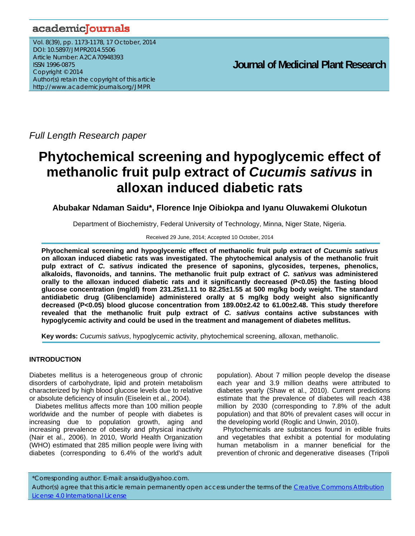## academicJournals

Vol. 8(39), pp. 1173-1178, 17 October, 2014 DOI: 10.5897/JMPR2014.5506 Article Number: A2CA70948393 ISSN 1996-0875 Copyright © 2014 Author(s) retain the copyright of this article http://www.academicjournals.org/JMPR

 **Journal of Medicinal Plant Research**

*Full Length Research paper*

# **Phytochemical screening and hypoglycemic effect of methanolic fruit pulp extract of** *Cucumis sativus* **in alloxan induced diabetic rats**

**Abubakar Ndaman Saidu\*, Florence Inje Oibiokpa and Iyanu Oluwakemi Olukotun** 

Department of Biochemistry, Federal University of Technology, Minna, Niger State, Nigeria.

## Received 29 June, 2014; Accepted 10 October, 2014

**Phytochemical screening and hypoglycemic effect of methanolic fruit pulp extract of** *Cucumis sativus* **on alloxan induced diabetic rats was investigated. The phytochemical analysis of the methanolic fruit pulp extract of** *C. sativus* **indicated the presence of saponins, glycosides, terpenes, phenolics, alkaloids, flavonoids, and tannins. The methanolic fruit pulp extract of** *C. sativus* **was administered orally to the alloxan induced diabetic rats and it significantly decreased (P<0.05) the fasting blood glucose concentration (mg/dl) from 231.25±1.11 to 82.25±1.55 at 500 mg/kg body weight. The standard antidiabetic drug (Glibenclamide) administered orally at 5 mg/kg body weight also significantly decreased (P<0.05) blood glucose concentration from 189.00±2.42 to 61.00±2.48. This study therefore revealed that the methanolic fruit pulp extract of** *C. sativus* **contains active substances with hypoglycemic activity and could be used in the treatment and management of diabetes mellitus.** 

**Key words:** *Cucumis sativus*, hypoglycemic activity, phytochemical screening, alloxan, methanolic.

## **INTRODUCTION**

Diabetes mellitus is a heterogeneous group of chronic disorders of carbohydrate, lipid and protein metabolism characterized by high blood glucose levels due to relative or absolute deficiency of insulin (Eiselein et al., 2004).

Diabetes mellitus affects more than 100 million people worldwide and the number of people with diabetes is increasing due to population growth, aging and increasing prevalence of obesity and physical inactivity (Nair et al., 2006). In 2010, World Health Organization (WHO) estimated that 285 million people were living with diabetes (corresponding to 6.4% of the world's adult population). About 7 million people develop the disease each year and 3.9 million deaths were attributed to diabetes yearly (Shaw et al., 2010). Current predictions estimate that the prevalence of diabetes will reach 438 million by 2030 (corresponding to 7.8% of the adult population) and that 80% of prevalent cases will occur in the developing world (Roglic and Unwin, 2010).

Phytochemicals are substances found in edible fruits and vegetables that exhibit a potential for modulating human metabolism in a manner beneficial for the prevention of chronic and degenerative diseases (Tripoli

\*Corresponding author. E-mail: ansaidu@yahoo.com.

Author(s) agree that this article remain permanently open access under the terms of the Creative Commons Attribution License 4.0 International License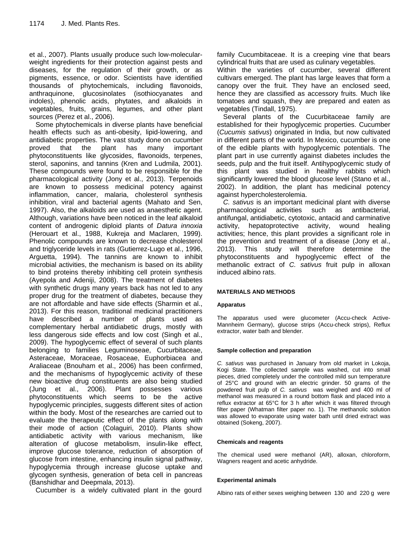et al., 2007). Plants usually produce such low-molecularweight ingredients for their protection against pests and diseases, for the regulation of their growth, or as pigments, essence, or odor. Scientists have identified thousands of phytochemicals, including flavonoids, anthraquinone, glucosinolates (isothiocyanates and indoles), phenolic acids, phytates, and alkaloids in vegetables, fruits, grains, legumes, and other plant sources (Perez et al., 2006).

Some phytochemicals in diverse plants have beneficial health effects such as anti-obesity, lipid-lowering, and antidiabetic properties. The vast study done on cucumber proved that the plant has many important phytoconstituents like glycosides, flavonoids, terpenes, sterol, saponins, and tannins (Kren and Ludmila, 2001). These compounds were found to be responsible for the pharmacological activity (Jony et al., 2013). Terpenoids are known to possess medicinal potency against inflammation, cancer, malaria, cholesterol synthesis inhibition, viral and bacterial agents (Mahato and Sen, 1997). Also, the alkaloids are used as anaesthetic agent. Although, variations have been noticed in the leaf alkaloid content of androgenic diploid plants of *Datura innoxia* (Herouart et al., 1988, Kukreja and Maclaren, 1999). Phenolic compounds are known to decrease cholesterol and triglyceride levels in rats (Gutierrez-Lugo et al., 1996, Arguetta, 1994). The tannins are known to inhibit microbial activities, the mechanism is based on its ability to bind proteins thereby inhibiting cell protein synthesis (Ayepola and Adeniji, 2008). The treatment of diabetes with synthetic drugs many years back has not led to any proper drug for the treatment of diabetes, because they are not affordable and have side effects (Sharmin et al., 2013). For this reason, traditional medicinal practitioners have described a number of plants used as complementary herbal antidiabetic drugs, mostly with less dangerous side effects and low cost (Singh et al., 2009). The hypoglycemic effect of several of such plants belonging to families Leguminoseae, Cucurbitaceae, Asteraceae, Moraceae, Rosaceae, Euphorbiacea and Araliaceae (Bnouham et al., 2006) has been confirmed, and the mechanisms of hypoglycemic activity of these new bioactive drug constituents are also being studied (Jung et al., 2006). Plant possesses various phytoconstituents which seems to be the active hypoglycemic principles, suggests different sites of action within the body. Most of the researches are carried out to evaluate the therapeutic effect of the plants along with their mode of action (Colaguiri, 2010). Plants show antidiabetic activity with various mechanism, like alteration of glucose metabolism, insulin-like effect, improve glucose tolerance, reduction of absorption of glucose from intestine, enhancing insulin signal pathway, hypoglycemia through increase glucose uptake and glycogen synthesis, generation of beta cell in pancreas (Banshidhar and Deepmala, 2013).

Cucumber is a widely cultivated plant in the gourd

family Cucumbitaceae. It is a creeping vine that bears cylindrical fruits that are used as culinary vegetables.

Within the varieties of cucumber, several different cultivars emerged. The plant has large leaves that form a canopy over the fruit. They have an enclosed seed, hence they are classified as accessory fruits. Much like tomatoes and squash, they are prepared and eaten as vegetables (Tindall, 1975).

Several plants of the Cucurbitaceae family are established for their hypoglycemic properties. Cucumber (*Cucumis sativus*) originated in India, but now cultivated in different parts of the world. In Mexico, cucumber is one of the edible plants with hypoglycemic potentials. The plant part in use currently against diabetes includes the seeds, pulp and the fruit itself. Antihypoglycemic study of this plant was studied in healthy rabbits which significantly lowered the blood glucose level (Stano et al., 2002). In addition, the plant has medicinal potency against hypercholesterolemia.

*C. sativus* is an important medicinal plant with diverse pharmacological activities such as antibacterial, antifungal, antidiabetic, cytotoxic, antacid and carminative activity, hepatoprotective activity, wound healing activities; hence, this plant provides a significant role in the prevention and treatment of a disease (Jony et al., 2013). This study will therefore determine the phytoconstituents and hypoglycemic effect of the methanolic extract of *C. sativus* fruit pulp in alloxan induced albino rats.

## **MATERIALS AND METHODS**

#### **Apparatus**

The apparatus used were glucometer (Accu-check Active-Mannheim Germany), glucose strips (Accu-check strips), Reflux extractor, water bath and blender.

#### **Sample collection and preparation**

*C. sativus* was purchased in January from old market in Lokoja, Kogi State. The collected sample was washed, cut into small pieces, dried completely under the controlled mild sun temperature of 25°C and ground with an electric grinder. 50 grams of the powdered fruit pulp of *C. sativus* was weighed and 400 ml of methanol was measured in a round bottom flask and placed into a reflux extractor at 65°C for 3 h after which it was filtered through filter paper (Whatman filter paper no. 1). The methanolic solution was allowed to evaporate using water bath until dried extract was obtained (Sokeng, 2007).

#### **Chemicals and reagents**

The chemical used were methanol (AR), alloxan, chloroform, Wagners reagent and acetic anhydride.

#### **Experimental animals**

Albino rats of either sexes weighing between 130 and 220 g were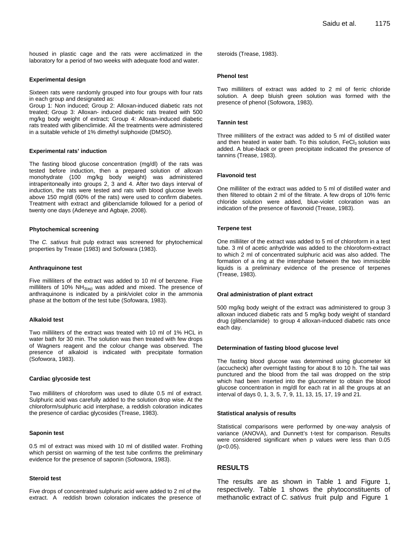housed in plastic cage and the rats were acclimatized in the laboratory for a period of two weeks with adequate food and water.

#### **Experimental design**

Sixteen rats were randomly grouped into four groups with four rats in each group and designated as:

Group 1: Non induced; Group 2: Alloxan-induced diabetic rats not treated; Group 3: Alloxan- induced diabetic rats treated with 500 mg/kg body weight of extract; Group 4: Alloxan-induced diabetic rats treated with glibenclimide. All the treatments were administered in a suitable vehicle of 1% dimethyl sulphoxide (DMSO).

#### **Experimental rats' induction**

The fasting blood glucose concentration (mg/dl) of the rats was tested before induction, then a prepared solution of alloxan monohydrate (100 mg/kg body weight) was administered intraperitoneally into groups 2, 3 and 4. After two days interval of induction, the rats were tested and rats with blood glucose levels above 150 mg/dl (60% of the rats) were used to confirm diabetes. Treatment with extract and glibenclamide followed for a period of twenty one days (Adeneye and Agbaje, 2008).

#### **Phytochemical screening**

The *C. sativus* fruit pulp extract was screened for phytochemical properties by Trease (1983) and Sofowara (1983).

## **Anthraquinone test**

Five milliliters of the extract was added to 10 ml of benzene. Five milliliters of 10%  $NH<sub>3(aq)</sub>$  was added and mixed. The presence of anthraquinone is indicated by a pink/violet color in the ammonia phase at the bottom of the test tube (Sofowara, 1983).

#### **Alkaloid test**

Two milliliters of the extract was treated with 10 ml of 1% HCL in water bath for 30 min. The solution was then treated with few drops of Wagners reagent and the colour change was observed. The presence of alkaloid is indicated with precipitate formation (Sofowora, 1983).

#### **Cardiac glycoside test**

Two milliliters of chloroform was used to dilute 0.5 ml of extract. Sulphuric acid was carefully added to the solution drop wise. At the chloroform/sulphuric acid interphase, a reddish coloration indicates the presence of cardiac glycosides (Trease, 1983).

#### **Saponin test**

0.5 ml of extract was mixed with 10 ml of distilled water. Frothing which persist on warming of the test tube confirms the preliminary evidence for the presence of saponin (Sofowora, 1983).

#### **Steroid test**

Five drops of concentrated sulphuric acid were added to 2 ml of the extract. A reddish brown coloration indicates the presence of steroids (Trease, 1983).

#### **Phenol test**

Two milliliters of extract was added to 2 ml of ferric chloride solution. A deep bluish green solution was formed with the presence of phenol (Sofowora, 1983).

#### **Tannin test**

Three milliliters of the extract was added to 5 ml of distilled water and then heated in water bath. To this solution,  $FeCl<sub>3</sub>$  solution was added. A blue-black or green precipitate indicated the presence of tannins (Trease, 1983).

#### **Flavonoid test**

One milliliter of the extract was added to 5 ml of distilled water and then filtered to obtain 2 ml of the filtrate. A few drops of 10% ferric chloride solution were added, blue-violet coloration was an indication of the presence of flavonoid (Trease, 1983).

#### **Terpene test**

One milliliter of the extract was added to 5 ml of chloroform in a test tube. 3 ml of acetic anhydride was added to the chloroform-extract to which 2 ml of concentrated sulphuric acid was also added. The formation of a ring at the interphase between the two immiscible liquids is a preliminary evidence of the presence of terpenes (Trease, 1983).

#### **Oral administration of plant extract**

500 mg/kg body weight of the extract was administered to group 3 alloxan induced diabetic rats and 5 mg/kg body weight of standard drug (glibenclamide) to group 4 alloxan-induced diabetic rats once each day.

#### **Determination of fasting blood glucose level**

The fasting blood glucose was determined using glucometer kit (accucheck) after overnight fasting for about 8 to 10 h. The tail was punctured and the blood from the tail was dropped on the strip which had been inserted into the glucometer to obtain the blood glucose concentration in mg/dl for each rat in all the groups at an interval of days 0, 1, 3, 5, 7, 9, 11, 13, 15, 17, 19 and 21.

#### **Statistical analysis of results**

Statistical comparisons were performed by one-way analysis of variance (ANOVA), and Dunnett's t-test for comparison. Results were considered significant when p values were less than 0.05 (p<0.05).

## **RESULTS**

The results are as shown in Table 1 and Figure 1, respectively. Table 1 shows the phytoconstituents of methanolic extract of *C. sativus* fruit pulp and Figure 1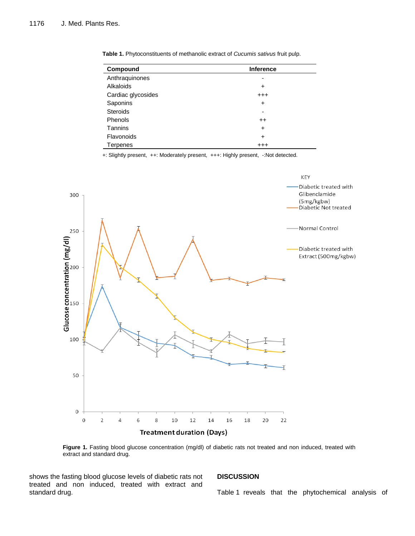| Compound           | <b>Inference</b> |
|--------------------|------------------|
| Anthraquinones     |                  |
| Alkaloids          | ÷                |
| Cardiac glycosides | $^{++}$          |
| Saponins           | $\ddot{}$        |
| <b>Steroids</b>    |                  |
| Phenols            | $^{\mathrm{+}}$  |
| Tannins            | +                |
| Flavonoids         | $\ddot{}$        |
| <b>Terpenes</b>    | $^{++}$          |

**Table 1.** Phytoconstituents of methanolic extract of *Cucumis sativus* fruit pulp.

+: Slightly present, ++: Moderately present, +++: Highly present, -: Not detected.



Figure 1. Fasting blood glucose concentration (mg/dl) of diabetic rats not treated and non induced, treated with extract and standard drug.

shows the fasting blood glucose levels of diabetic rats not treated and non induced, treated with extract and standard drug.

## **DISCUSSION**

Table 1 reveals that the phytochemical analysis of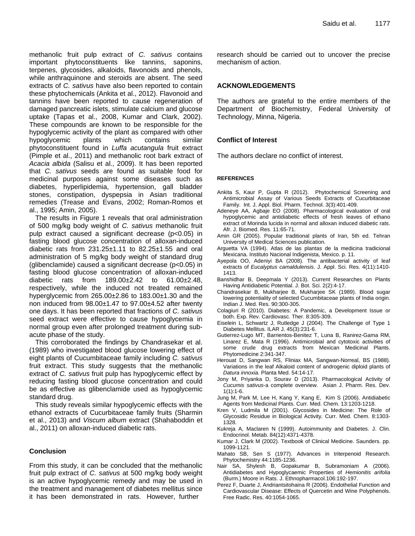methanolic fruit pulp extract of *C. sativus* contains important phytoconstituents like tannins, saponins, terpenes, glycosides, alkaloids, flavonoids and phenols, while anthraquinone and steroids are absent. The seed extracts of *C. sativus* have also been reported to contain these phytochemicals (Ankita et al., 2012). Flavonoid and tannins have been reported to cause regeneration of damaged pancreatic islets, stimulate calcium and glucose uptake (Tapas et al., 2008, Kumar and Clark, 2002). These compounds are known to be responsible for the hypoglycemic activity of the plant as compared with other hypoglycemic plants which contains similar phytoconstituent found in *Luffa acutangula* fruit extract (Pimple et al., 2011) and methanolic root bark extract of *Acacia albida* (Salisu et al., 2009). It has been reported that *C. sativus* seeds are found as suitable food for medicinal purposes against some diseases such as diabetes, hyperlipidemia, hypertension, gall bladder stones, constipation, dyspepsia in Asian traditional remedies (Trease and Evans, 2002; Roman-Romos et al., 1995; Amin, 2005).

The results in Figure 1 reveals that oral administration of 500 mg/kg body weight of *C. sativus* methanolic fruit pulp extract caused a significant decrease (p<0.05) in fasting blood glucose concentration of alloxan-induced diabetic rats from  $231.25 \pm 1.11$  to  $82.25 \pm 1.55$  and oral administration of 5 mg/kg body weight of standard drug (glibenclamide) caused a significant decrease (p<0.05) in fasting blood glucose concentration of alloxan-induced diabetic rats from 189.00±2.42 to 61.00±2.48, respectively, while the induced not treated remained hyperglycemic from 265.00±2.86 to 183.00±1.30 and the non induced from  $98.00\pm1.47$  to  $97.00\pm4.52$  after twenty one days. It has been reported that fractions of *C. sativus*  seed extract were effective to cause hypoglycemia in normal group even after prolonged treatment during subacute phase of the study.

This corroborated the findings by Chandrasekar et al. (1989) who investigated blood glucose lowering effect of eight plants of Cucumbitaceae family including *C. sativus* fruit extract. This study suggests that the methanolic extract of *C. sativus* fruit pulp has hypoglycemic effect by reducing fasting blood glucose concentration and could be as effective as glibenclamide used as hypoglycemic standard drug.

This study reveals similar hypoglycemic effects with the ethanol extracts of Cucurbitaceae family fruits (Sharmin et al., 2013) and *Viscum album* extract (Shahaboddin et al., 2011) on alloxan-induced diabetic rats.

## **Conclusion**

From this study, it can be concluded that the methanolic fruit pulp extract of *C. sativus* at 500 mg/kg body weight is an active hypoglycemic remedy and may be used in the treatment and management of diabetes mellitus since it has been demonstrated in rats. However, further

research should be carried out to uncover the precise mechanism of action.

## **ACKNOWLEDGEMENTS**

The authors are grateful to the entire members of the Department of Biochemistry, Federal University of Technology, Minna, Nigeria.

## **Conflict of Interest**

The authors declare no conflict of interest.

#### **REFERENCES**

- Ankita S, Kaur P, Gupta R (2012). Phytochemical Screening and Antimicrobial Assay of Various Seeds Extracts of Cucurbitaceae Family. Int. J. Appl. Biol. Pharm. Technol. 3(3):401-409.
- Adeneye AA, Agbaje EO (2008). Pharmacological evaluation of oral hypoglycemic and antidiabetic effects of fresh leaves of ethano extract of Morinda lucida in normal and alloxan induced diabetic rats. Afr. J. Biomed. Res. 11:65-71.
- Amin GR (2005). Popular traditional plants of Iran, 5th ed. Tehran University of Medical Sciences publication.
- Arguetta VA (1994). Atlas de las plantas de la medicina tradicional Mexicana. Instituto Nacional Indigenista, Mexico. p. 11.
- Ayepola OO, Adeniyi BA (2008). The antibacterial activity of leaf extracts of *Eucalyptus camaldulensis*. J. Appl. Sci. Res. 4(11):1410- 1413.
- Banshidhar B, Deepmala Y (2013). Current Researches on Plants Having Antidiabetic Potential. J. Bot. Sci. 2(2):4-17.
- Chandrasekar B, Mukharjee B, Mukharjee SK (1989). Blood sugar lowering potentiality of selected Cucumbitaceae plants of India origin. Indian J. Med. Res. 90:300-305.
- Colagiuri R (2010). Diabetes: A Pandemic, a Development Issue or both. Exp. Rev. Cardiovasc. Ther. 8:305-309.
- Eiselein L, Schwartz J, Rutledge J (2004). The Challenge of Type 1 Diabetes Mellitus. ILAR J. 45(3):231-6.
- Gutierrez-Lugo MT, Barrientos-Benitez T, Luna B, Ranirez-Gama RM, Linarez E, Mata R (1996). Antimicrobial and cytotoxic activities of some crude drug extracts from Mexican Medicinal Plants. Phytomedicine 2:341-347.
- Herouat D, Sangwan RS, Fliniax MA, Sangwan-Norreal, BS (1988). Variations in the leaf Alkaloid content of androgenic diploid plants of *Datura innoxia*. Planta Med. 54:14-17.
- Jony M, Priyanka D, Sourav D (2013). Pharmacological Activity of *Cucumis sativus*-a complete overview. Asian J. Pharm. Res. Dev.  $1(1):1-6.$
- Jung M, Park M, Lee H, Kang Y, Kang E, Kim S (2006). Antidiabetic Agents from Medicinal Plants. Curr. Med. Chem. 13:1203-1218.
- Kren V, Ludmila M (2001). Glycosides in Medicine: The Role of Glycosidic Residue in Biological Activity*.* Curr. Med. Chem. 8:1303- 1328.
- Kukreja A, Maclaren N (1999). Autoimmunity and Diabetes. J. Clin. Endocrinol. Metab. 84(12):4371-4378.
- Kumar J, Clark M (2002). Textbook of Clinical Medicine. Saunders. pp. 1099-1121.
- Mahato SB, Sen S (1977). Advances in triterpenoid Research. Phytochemistry 44:1185-1236.
- Nair SA, Shylesh B, Gopakumar B, Subramoniam A (2006). Antidiabetes and Hypoglycaemic Properties of *Hemionitis arifolia*  (Burm.) Moore in Rats. J. Ethnopharmacol.106:192-197.
- Perez F, Duarte J, Andriantsitohaina R (2006). Endothelial Function and Cardiovascular Disease: Effects of Quercetin and Wine Polyphenols. Free Radic. Res. 40:1054-1065.